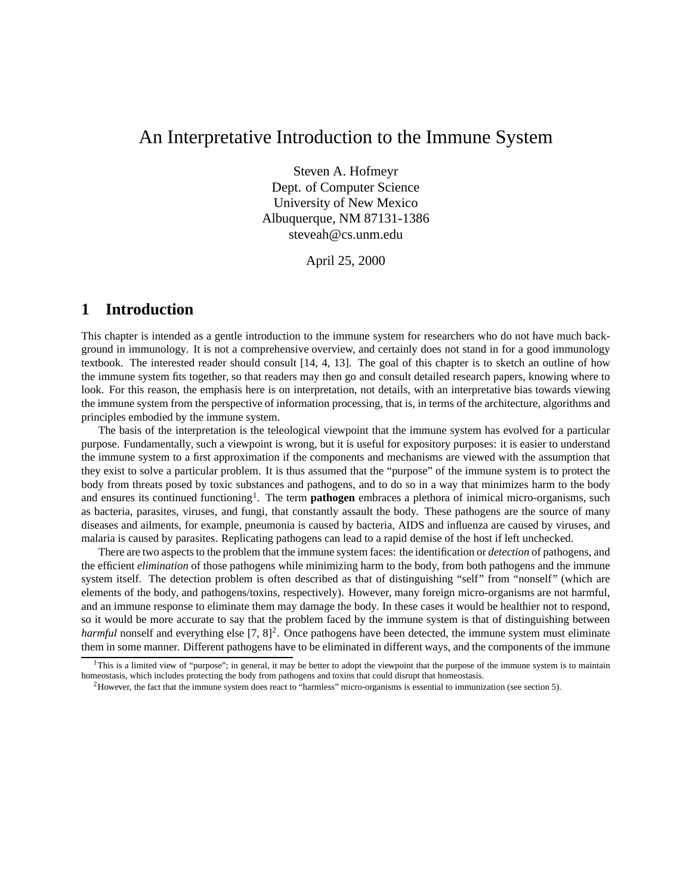# An Interpretative Introduction to the Immune System

Steven A. Hofmeyr Dept. of Computer Science University of New Mexico Albuquerque, NM 87131-1386 steveah@cs.unm.edu

April 25, 2000

## **1 Introduction**

This chapter is intended as a gentle introduction to the immune system for researchers who do not have much background in immunology. It is not a comprehensive overview, and certainly does not stand in for a good immunology textbook. The interested reader should consult [14, 4, 13]. The goal of this chapter is to sketch an outline of how the immune system fits together, so that readers may then go and consult detailed research papers, knowing where to look. For this reason, the emphasis here is on interpretation, not details, with an interpretative bias towards viewing the immune system from the perspective of information processing, that is, in terms of the architecture, algorithms and principles embodied by the immune system.

The basis of the interpretation is the teleological viewpoint that the immune system has evolved for a particular purpose. Fundamentally, such a viewpoint is wrong, but it is useful for expository purposes: it is easier to understand the immune system to a first approximation if the components and mechanisms are viewed with the assumption that they exist to solve a particular problem. It is thus assumed that the "purpose" of the immune system is to protect the body from threats posed by toxic substances and pathogens, and to do so in a way that minimizes harm to the body and ensures its continued functioning<sup>1</sup>. The term **pathogen** embraces a plethora of inimical micro-organisms, such as bacteria, parasites, viruses, and fungi, that constantly assault the body. These pathogens are the source of many diseases and ailments, for example, pneumonia is caused by bacteria, AIDS and influenza are caused by viruses, and malaria is caused by parasites. Replicating pathogens can lead to a rapid demise of the host if left unchecked.

There are two aspects to the problem that the immune system faces: the identification or *detection* of pathogens, and the efficient *elimination* of those pathogens while minimizing harm to the body, from both pathogens and the immune system itself. The detection problem is often described as that of distinguishing "self" from "nonself" (which are elements of the body, and pathogens/toxins, respectively). However, many foreign micro-organisms are not harmful, and an immune response to eliminate them may damage the body. In these cases it would be healthier not to respond, so it would be more accurate to say that the problem faced by the immune system is that of distinguishing between *harmful* nonself and everything else [7, 8]<sup>2</sup>. Once pathogens have been detected, the immune system must eliminate them in some manner. Different pathogens have to be eliminated in different ways, and the components of the immune

<sup>&</sup>lt;sup>1</sup>This is a limited view of "purpose"; in general, it may be better to adopt the viewpoint that the purpose of the immune system is to maintain homeostasis, which includes protecting the body from pathogens and toxins that could disrupt that homeostasis.

<sup>2</sup>However, the fact that the immune system does react to "harmless" micro-organisms is essential to immunization (see section 5).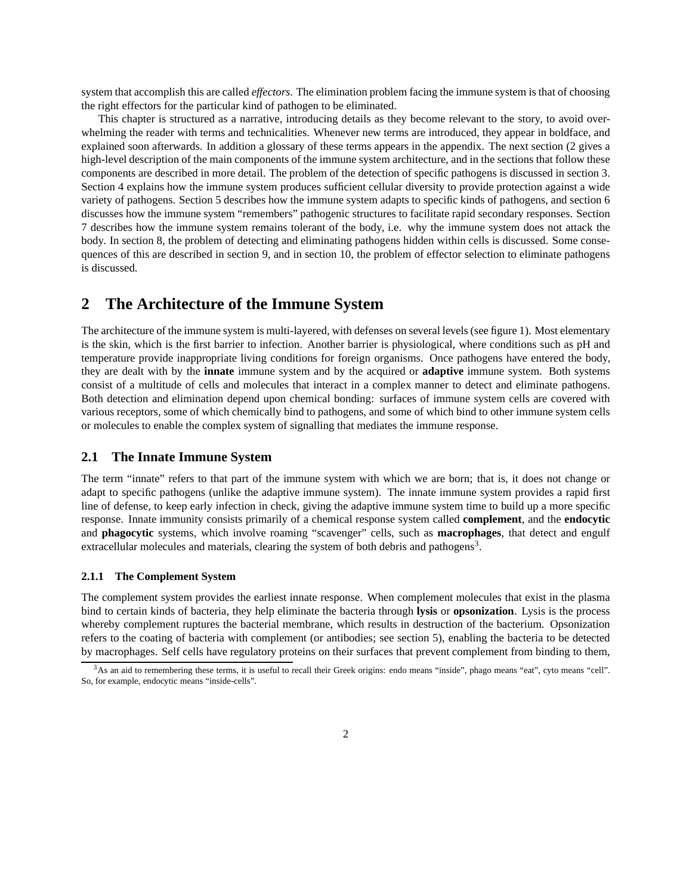system that accomplish this are called *effectors*. The elimination problem facing the immune system is that of choosing the right effectors for the particular kind of pathogen to be eliminated.

This chapter is structured as a narrative, introducing details as they become relevant to the story, to avoid overwhelming the reader with terms and technicalities. Whenever new terms are introduced, they appear in boldface, and explained soon afterwards. In addition a glossary of these terms appears in the appendix. The next section (2 gives a high-level description of the main components of the immune system architecture, and in the sections that follow these components are described in more detail. The problem of the detection of specific pathogens is discussed in section 3. Section 4 explains how the immune system produces sufficient cellular diversity to provide protection against a wide variety of pathogens. Section 5 describes how the immune system adapts to specific kinds of pathogens, and section 6 discusses how the immune system "remembers" pathogenic structures to facilitate rapid secondary responses. Section 7 describes how the immune system remains tolerant of the body, i.e. why the immune system does not attack the body. In section 8, the problem of detecting and eliminating pathogens hidden within cells is discussed. Some consequences of this are described in section 9, and in section 10, the problem of effector selection to eliminate pathogens is discussed.

### **2 The Architecture of the Immune System**

The architecture of the immune system is multi-layered, with defenses on several levels(see figure 1). Most elementary is the skin, which is the first barrier to infection. Another barrier is physiological, where conditions such as pH and temperature provide inappropriate living conditions for foreign organisms. Once pathogens have entered the body, they are dealt with by the **innate** immune system and by the acquired or **adaptive** immune system. Both systems consist of a multitude of cells and molecules that interact in a complex manner to detect and eliminate pathogens. Both detection and elimination depend upon chemical bonding: surfaces of immune system cells are covered with various receptors, some of which chemically bind to pathogens, and some of which bind to other immune system cells or molecules to enable the complex system of signalling that mediates the immune response.

#### **2.1 The Innate Immune System**

The term "innate" refers to that part of the immune system with which we are born; that is, it does not change or adapt to specific pathogens (unlike the adaptive immune system). The innate immune system provides a rapid first line of defense, to keep early infection in check, giving the adaptive immune system time to build up a more specific response. Innate immunity consists primarily of a chemical response system called **complement**, and the **endocytic** and **phagocytic** systems, which involve roaming "scavenger" cells, such as **macrophages**, that detect and engulf extracellular molecules and materials, clearing the system of both debris and pathogens<sup>3</sup>.

#### **2.1.1 The Complement System**

The complement system provides the earliest innate response. When complement molecules that exist in the plasma bind to certain kinds of bacteria, they help eliminate the bacteria through **lysis** or **opsonization**. Lysis is the process whereby complement ruptures the bacterial membrane, which results in destruction of the bacterium. Opsonization refers to the coating of bacteria with complement (or antibodies; see section 5), enabling the bacteria to be detected by macrophages. Self cells have regulatory proteins on their surfaces that prevent complement from binding to them,

<sup>&</sup>lt;sup>3</sup>As an aid to remembering these terms, it is useful to recall their Greek origins: endo means "inside", phago means "eat", cyto means "cell". So, for example, endocytic means "inside-cells".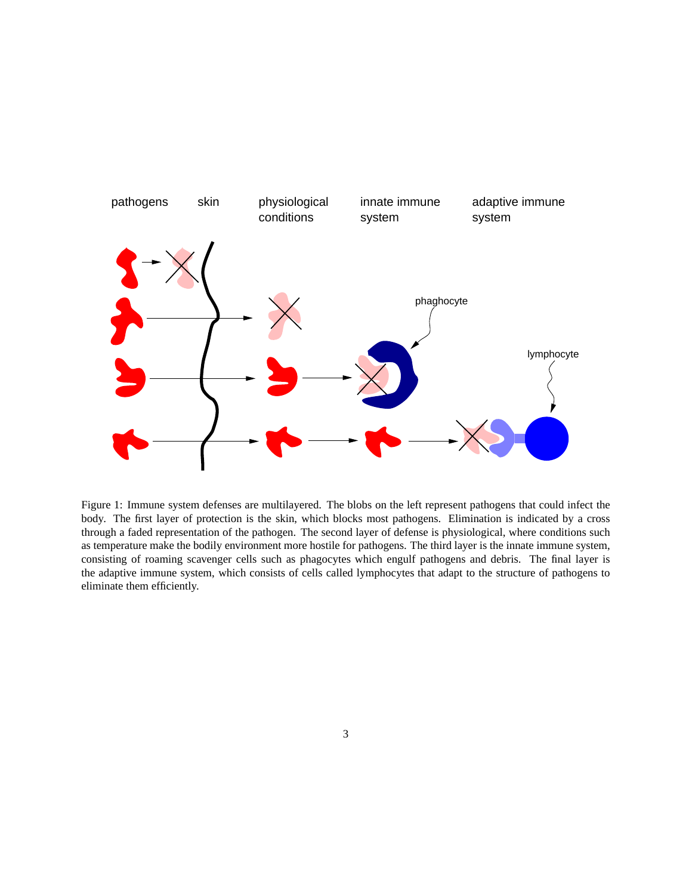

Figure 1: Immune system defenses are multilayered. The blobs on the left represent pathogens that could infect the body. The first layer of protection is the skin, which blocks most pathogens. Elimination is indicated by a cross through a faded representation of the pathogen. The second layer of defense is physiological, where conditions such as temperature make the bodily environment more hostile for pathogens. The third layer is the innate immune system, consisting of roaming scavenger cells such as phagocytes which engulf pathogens and debris. The final layer is the adaptive immune system, which consists of cells called lymphocytes that adapt to the structure of pathogens to eliminate them efficiently.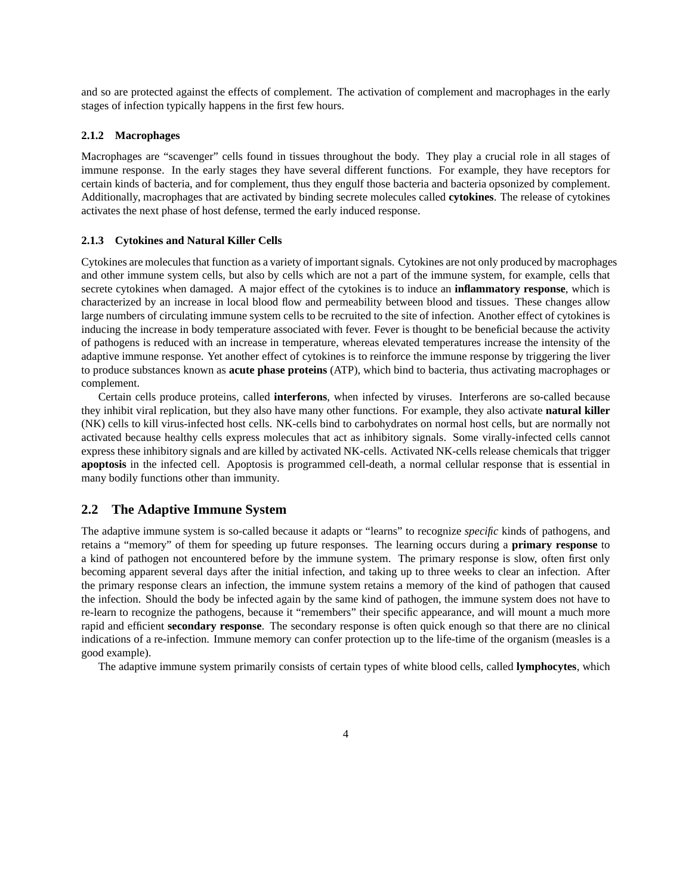and so are protected against the effects of complement. The activation of complement and macrophages in the early stages of infection typically happens in the first few hours.

#### **2.1.2 Macrophages**

Macrophages are "scavenger" cells found in tissues throughout the body. They play a crucial role in all stages of immune response. In the early stages they have several different functions. For example, they have receptors for certain kinds of bacteria, and for complement, thus they engulf those bacteria and bacteria opsonized by complement. Additionally, macrophages that are activated by binding secrete molecules called **cytokines**. The release of cytokines activates the next phase of host defense, termed the early induced response.

#### **2.1.3 Cytokines and Natural Killer Cells**

Cytokines are moleculesthat function as a variety of importantsignals. Cytokines are not only produced by macrophages and other immune system cells, but also by cells which are not a part of the immune system, for example, cells that secrete cytokines when damaged. A major effect of the cytokines is to induce an **inflammatory response**, which is characterized by an increase in local blood flow and permeability between blood and tissues. These changes allow large numbers of circulating immune system cells to be recruited to the site of infection. Another effect of cytokines is inducing the increase in body temperature associated with fever. Fever is thought to be beneficial because the activity of pathogens is reduced with an increase in temperature, whereas elevated temperatures increase the intensity of the adaptive immune response. Yet another effect of cytokines is to reinforce the immune response by triggering the liver to produce substances known as **acute phase proteins** (ATP), which bind to bacteria, thus activating macrophages or complement.

Certain cells produce proteins, called **interferons**, when infected by viruses. Interferons are so-called because they inhibit viral replication, but they also have many other functions. For example, they also activate **natural killer** (NK) cells to kill virus-infected host cells. NK-cells bind to carbohydrates on normal host cells, but are normally not activated because healthy cells express molecules that act as inhibitory signals. Some virally-infected cells cannot express these inhibitory signals and are killed by activated NK-cells. Activated NK-cells release chemicals that trigger **apoptosis** in the infected cell. Apoptosis is programmed cell-death, a normal cellular response that is essential in many bodily functions other than immunity.

#### **2.2 The Adaptive Immune System**

The adaptive immune system is so-called because it adapts or "learns" to recognize *specific* kinds of pathogens, and retains a "memory" of them for speeding up future responses. The learning occurs during a **primary response** to a kind of pathogen not encountered before by the immune system. The primary response is slow, often first only becoming apparent several days after the initial infection, and taking up to three weeks to clear an infection. After the primary response clears an infection, the immune system retains a memory of the kind of pathogen that caused the infection. Should the body be infected again by the same kind of pathogen, the immune system does not have to re-learn to recognize the pathogens, because it "remembers" their specific appearance, and will mount a much more rapid and efficient **secondary response**. The secondary response is often quick enough so that there are no clinical indications of a re-infection. Immune memory can confer protection up to the life-time of the organism (measles is a good example).

The adaptive immune system primarily consists of certain types of white blood cells, called **lymphocytes**, which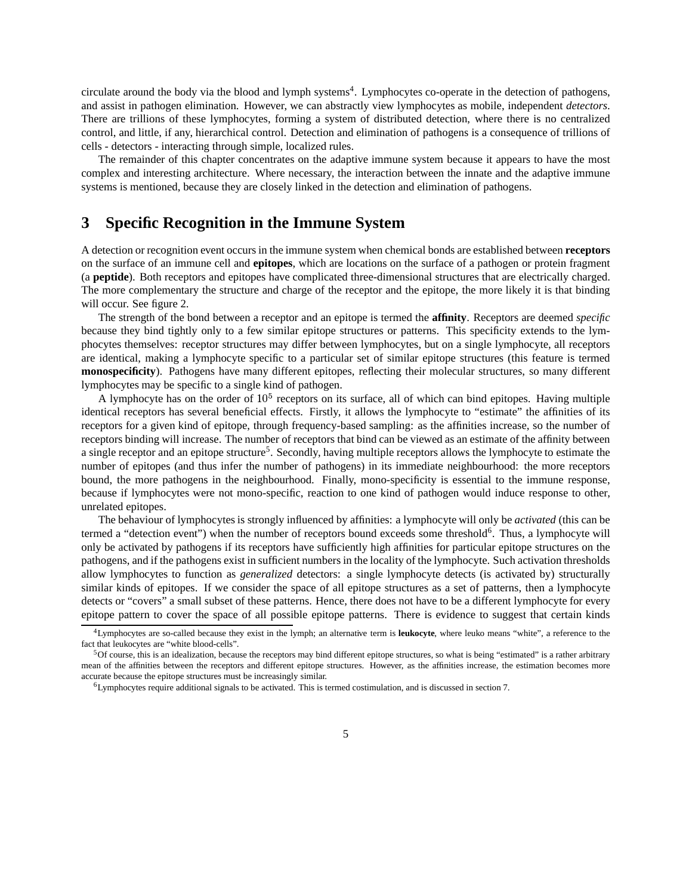circulate around the body via the blood and lymph systems<sup>4</sup>. Lymphocytes co-operate in the detection of pathogens, and assist in pathogen elimination. However, we can abstractly view lymphocytes as mobile, independent *detectors*. There are trillions of these lymphocytes, forming a system of distributed detection, where there is no centralized control, and little, if any, hierarchical control. Detection and elimination of pathogens is a consequence of trillions of cells - detectors - interacting through simple, localized rules.

The remainder of this chapter concentrates on the adaptive immune system because it appears to have the most complex and interesting architecture. Where necessary, the interaction between the innate and the adaptive immune systems is mentioned, because they are closely linked in the detection and elimination of pathogens.

### **3 Specific Recognition in the Immune System**

A detection or recognition event occurs in the immune system when chemical bonds are established between **receptors** on the surface of an immune cell and **epitopes**, which are locations on the surface of a pathogen or protein fragment (a **peptide**). Both receptors and epitopes have complicated three-dimensional structures that are electrically charged. The more complementary the structure and charge of the receptor and the epitope, the more likely it is that binding will occur. See figure 2.

The strength of the bond between a receptor and an epitope is termed the **affinity**. Receptors are deemed *specific* because they bind tightly only to a few similar epitope structures or patterns. This specificity extends to the lymphocytes themselves: receptor structures may differ between lymphocytes, but on a single lymphocyte, all receptors are identical, making a lymphocyte specific to a particular set of similar epitope structures (this feature is termed **monospecificity**). Pathogens have many different epitopes, reflecting their molecular structures, so many different lymphocytes may be specific to a single kind of pathogen.

A lymphocyte has on the order of  $10<sup>5</sup>$  receptors on its surface, all of which can bind epitopes. Having multiple identical receptors has several beneficial effects. Firstly, it allows the lymphocyte to "estimate" the affinities of its receptors for a given kind of epitope, through frequency-based sampling: as the affinities increase, so the number of receptors binding will increase. The number of receptors that bind can be viewed as an estimate of the affinity between a single receptor and an epitope structure<sup>5</sup>. Secondly, having multiple receptors allows the lymphocyte to estimate the number of epitopes (and thus infer the number of pathogens) in its immediate neighbourhood: the more receptors bound, the more pathogens in the neighbourhood. Finally, mono-specificity is essential to the immune response, because if lymphocytes were not mono-specific, reaction to one kind of pathogen would induce response to other, unrelated epitopes.

The behaviour of lymphocytes is strongly influenced by affinities: a lymphocyte will only be *activated* (this can be termed a "detection event") when the number of receptors bound exceeds some threshold<sup>6</sup>. Thus, a lymphocyte will only be activated by pathogens if its receptors have sufficiently high affinities for particular epitope structures on the pathogens, and if the pathogens exist in sufficient numbers in the locality of the lymphocyte. Such activation thresholds allow lymphocytes to function as *generalized* detectors: a single lymphocyte detects (is activated by) structurally similar kinds of epitopes. If we consider the space of all epitope structures as a set of patterns, then a lymphocyte detects or "covers" a small subset of these patterns. Hence, there does not have to be a different lymphocyte for every epitope pattern to cover the space of all possible epitope patterns. There is evidence to suggest that certain kinds

<sup>4</sup>Lymphocytes are so-called because they exist in the lymph; an alternative term is **leukocyte**, where leuko means "white", a reference to the fact that leukocytes are "white blood-cells".

 $5$ Of course, this is an idealization, because the receptors may bind different epitope structures, so what is being "estimated" is a rather arbitrary mean of the affinities between the receptors and different epitope structures. However, as the affinities increase, the estimation becomes more accurate because the epitope structures must be increasingly similar.

<sup>6</sup>Lymphocytes require additional signals to be activated. This is termed costimulation, and is discussed in section 7.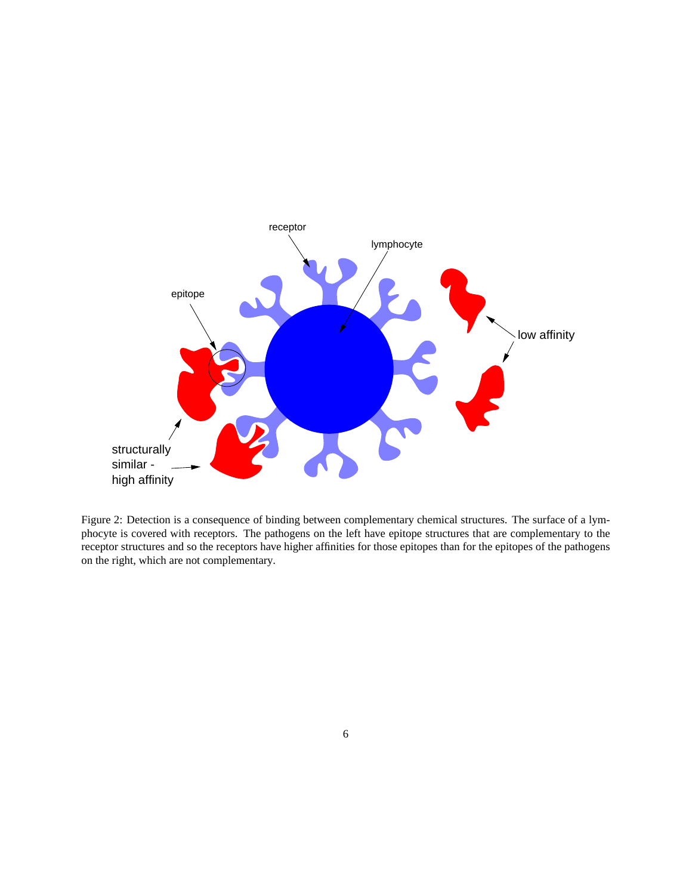

Figure 2: Detection is a consequence of binding between complementary chemical structures. The surface of a lymphocyte is covered with receptors. The pathogens on the left have epitope structures that are complementary to the receptor structures and so the receptors have higher affinities for those epitopes than for the epitopes of the pathogens on the right, which are not complementary.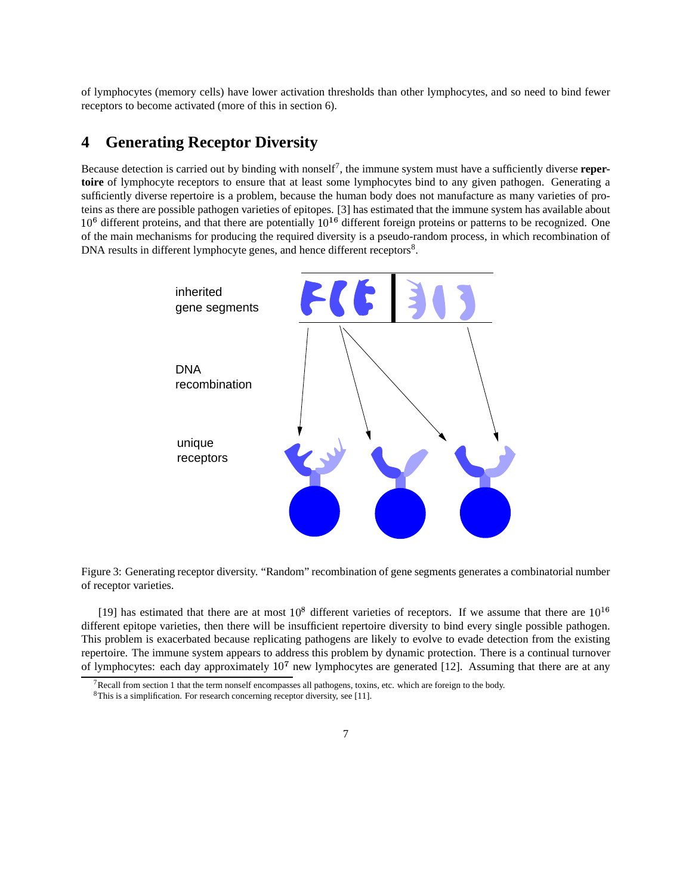of lymphocytes (memory cells) have lower activation thresholds than other lymphocytes, and so need to bind fewer receptors to become activated (more of this in section 6).

# **4 Generating Receptor Diversity**

Because detection is carried out by binding with nonself<sup>7</sup>, the immune system must have a sufficiently diverse reper**toire** of lymphocyte receptors to ensure that at least some lymphocytes bind to any given pathogen. Generating a sufficiently diverse repertoire is a problem, because the human body does not manufacture as many varieties of proteins as there are possible pathogen varieties of epitopes. [3] has estimated that the immune system has available about  $10<sup>6</sup>$  different proteins, and that there are potentially  $10<sup>16</sup>$  different foreign proteins or patterns to be recognized. One of the main mechanisms for producing the required diversity is a pseudo-random process, in which recombination of DNA results in different lymphocyte genes, and hence different receptors $8$ .



Figure 3: Generating receptor diversity. "Random" recombination of gene segments generates a combinatorial number of receptor varieties.

[19] has estimated that there are at most  $10^8$  different varieties of receptors. If we assume that there are  $10^{16}$ different epitope varieties, then there will be insufficient repertoire diversity to bind every single possible pathogen. This problem is exacerbated because replicating pathogens are likely to evolve to evade detection from the existing repertoire. The immune system appears to address this problem by dynamic protection. There is a continual turnover of lymphocytes: each day approximately  $10^7$  new lymphocytes are generated [12]. Assuming that there are at any

 $7$ Recall from section 1 that the term nonself encompasses all pathogens, toxins, etc. which are foreign to the body.

<sup>8</sup>This is a simplification. For research concerning receptor diversity, see [11].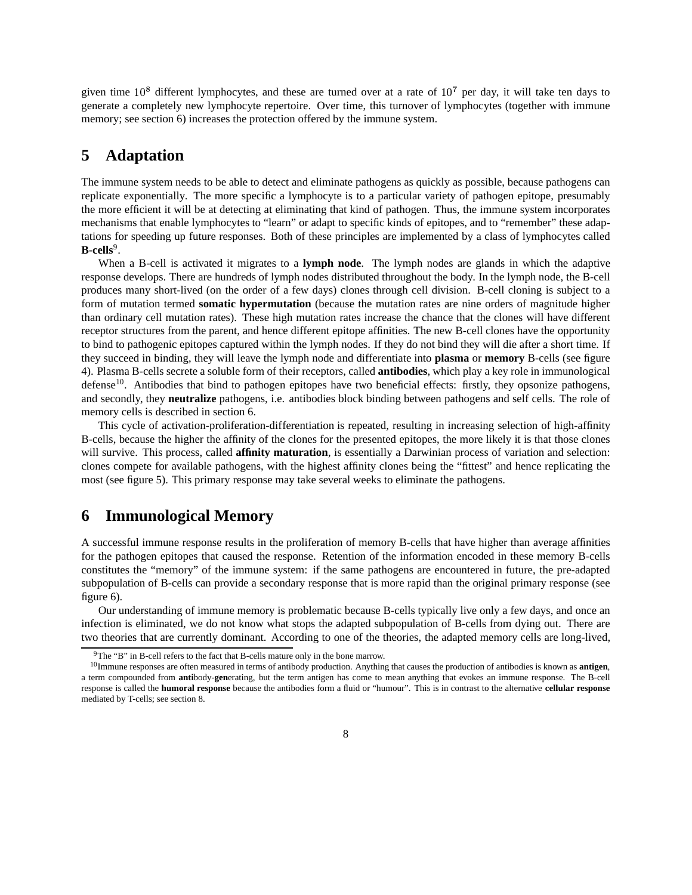given time  $10^8$  different lymphocytes, and these are turned over at a rate of  $10^7$  per day, it will take ten days to generate a completely new lymphocyte repertoire. Over time, this turnover of lymphocytes (together with immune memory; see section 6) increases the protection offered by the immune system.

## **5 Adaptation**

The immune system needs to be able to detect and eliminate pathogens as quickly as possible, because pathogens can replicate exponentially. The more specific a lymphocyte is to a particular variety of pathogen epitope, presumably the more efficient it will be at detecting at eliminating that kind of pathogen. Thus, the immune system incorporates mechanisms that enable lymphocytes to "learn" or adapt to specific kinds of epitopes, and to "remember" these adaptations for speeding up future responses. Both of these principles are implemented by a class of lymphocytes called B-cells<sup>9</sup>.

When a B-cell is activated it migrates to a **lymph node**. The lymph nodes are glands in which the adaptive response develops. There are hundreds of lymph nodes distributed throughout the body. In the lymph node, the B-cell produces many short-lived (on the order of a few days) clones through cell division. B-cell cloning is subject to a form of mutation termed **somatic hypermutation** (because the mutation rates are nine orders of magnitude higher than ordinary cell mutation rates). These high mutation rates increase the chance that the clones will have different receptor structures from the parent, and hence different epitope affinities. The new B-cell clones have the opportunity to bind to pathogenic epitopes captured within the lymph nodes. If they do not bind they will die after a short time. If they succeed in binding, they will leave the lymph node and differentiate into **plasma** or **memory** B-cells (see figure 4). Plasma B-cells secrete a soluble form of their receptors, called **antibodies**, which play a key role in immunological defense<sup>10</sup>. Antibodies that bind to pathogen epitopes have two beneficial effects: firstly, they opsonize pathogens, and secondly, they **neutralize** pathogens, i.e. antibodies block binding between pathogens and self cells. The role of memory cells is described in section 6.

This cycle of activation-proliferation-differentiation is repeated, resulting in increasing selection of high-affinity B-cells, because the higher the affinity of the clones for the presented epitopes, the more likely it is that those clones will survive. This process, called **affinity maturation**, is essentially a Darwinian process of variation and selection: clones compete for available pathogens, with the highest affinity clones being the "fittest" and hence replicating the most (see figure 5). This primary response may take several weeks to eliminate the pathogens.

## **6 Immunological Memory**

A successful immune response results in the proliferation of memory B-cells that have higher than average affinities for the pathogen epitopes that caused the response. Retention of the information encoded in these memory B-cells constitutes the "memory" of the immune system: if the same pathogens are encountered in future, the pre-adapted subpopulation of B-cells can provide a secondary response that is more rapid than the original primary response (see figure 6).

Our understanding of immune memory is problematic because B-cells typically live only a few days, and once an infection is eliminated, we do not know what stops the adapted subpopulation of B-cells from dying out. There are two theories that are currently dominant. According to one of the theories, the adapted memory cells are long-lived,

<sup>&</sup>lt;sup>9</sup>The "B" in B-cell refers to the fact that B-cells mature only in the bone marrow.

<sup>10</sup>Immune responses are often measured in terms of antibody production. Anything that causes the production of antibodies is known as **antigen**, a term compounded from **anti**body-**gen**erating, but the term antigen has come to mean anything that evokes an immune response. The B-cell response is called the **humoral response** because the antibodies form a fluid or "humour". This is in contrast to the alternative **cellular response** mediated by T-cells; see section 8.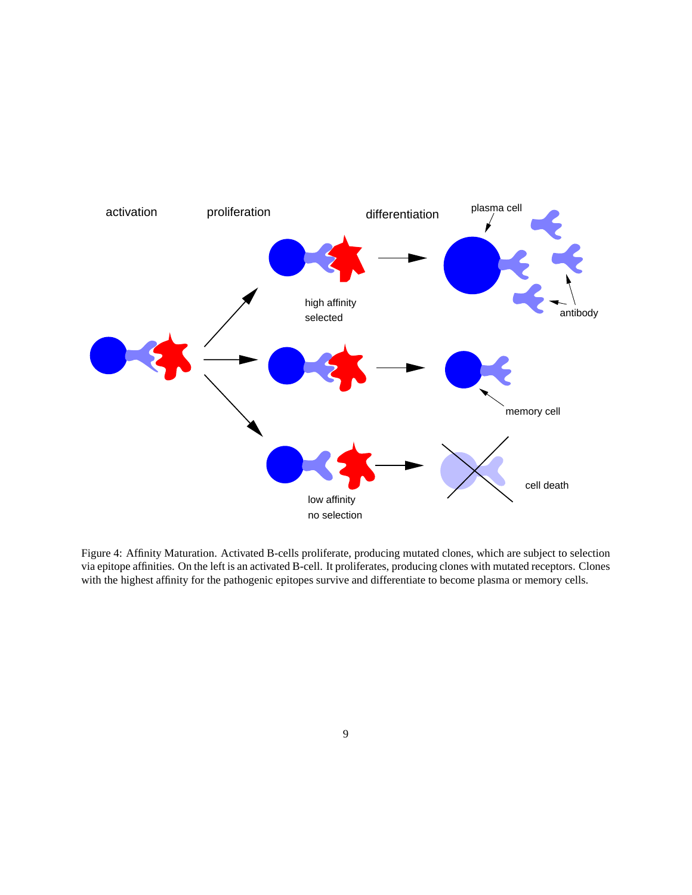

Figure 4: Affinity Maturation. Activated B-cells proliferate, producing mutated clones, which are subject to selection via epitope affinities. On the left is an activated B-cell. It proliferates, producing clones with mutated receptors. Clones with the highest affinity for the pathogenic epitopes survive and differentiate to become plasma or memory cells.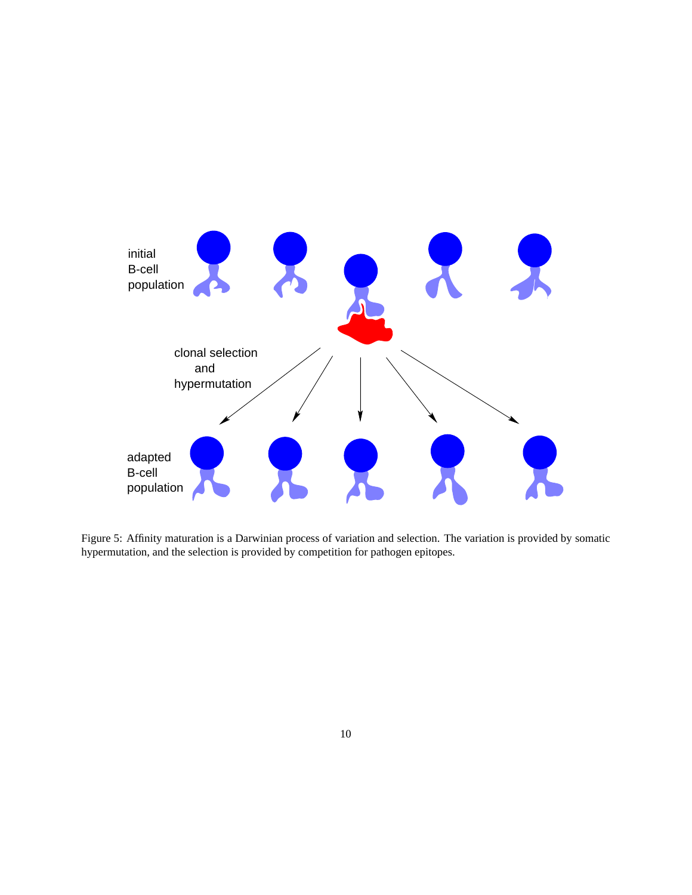

Figure 5: Affinity maturation is a Darwinian process of variation and selection. The variation is provided by somatic hypermutation, and the selection is provided by competition for pathogen epitopes.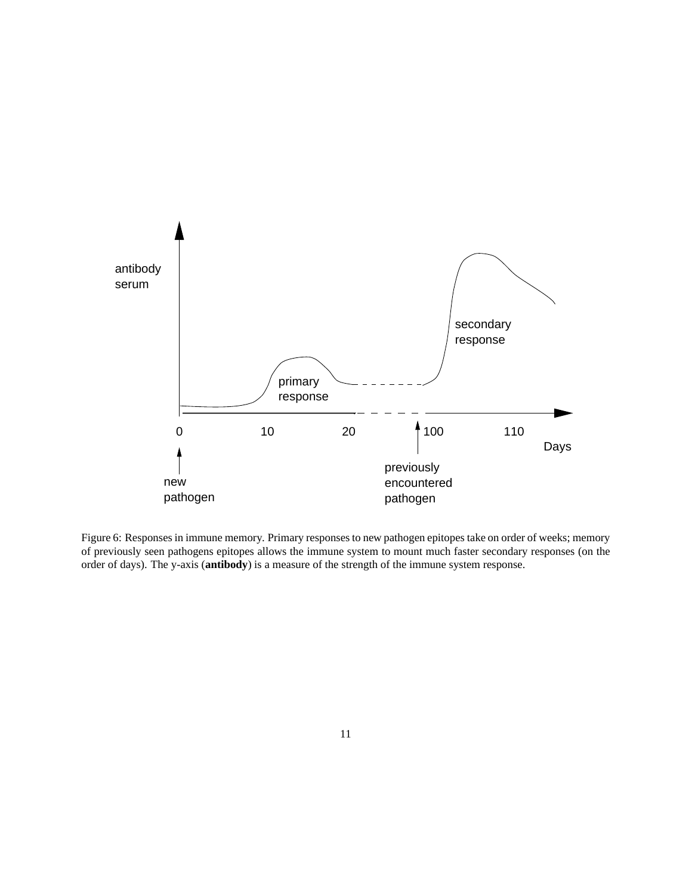

Figure 6: Responses in immune memory. Primary responses to new pathogen epitopes take on order of weeks; memory of previously seen pathogens epitopes allows the immune system to mount much faster secondary responses (on the order of days). The y-axis (**antibody**) is a measure of the strength of the immune system response.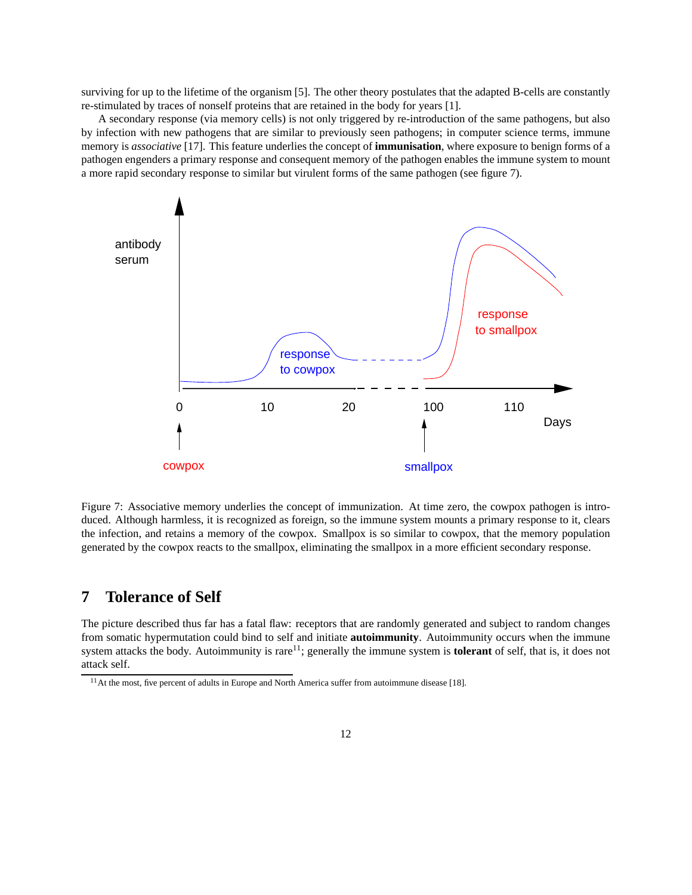surviving for up to the lifetime of the organism [5]. The other theory postulates that the adapted B-cells are constantly re-stimulated by traces of nonself proteins that are retained in the body for years [1].

A secondary response (via memory cells) is not only triggered by re-introduction of the same pathogens, but also by infection with new pathogens that are similar to previously seen pathogens; in computer science terms, immune memory is *associative* [17]. This feature underlies the concept of **immunisation**, where exposure to benign forms of a pathogen engenders a primary response and consequent memory of the pathogen enables the immune system to mount a more rapid secondary response to similar but virulent forms of the same pathogen (see figure 7).



Figure 7: Associative memory underlies the concept of immunization. At time zero, the cowpox pathogen is introduced. Although harmless, it is recognized as foreign, so the immune system mounts a primary response to it, clears the infection, and retains a memory of the cowpox. Smallpox is so similar to cowpox, that the memory population generated by the cowpox reacts to the smallpox, eliminating the smallpox in a more efficient secondary response.

## **7 Tolerance of Self**

The picture described thus far has a fatal flaw: receptors that are randomly generated and subject to random changes from somatic hypermutation could bind to self and initiate **autoimmunity**. Autoimmunity occurs when the immune system attacks the body. Autoimmunity is rare<sup>11</sup>; generally the immune system is **tolerant** of self, that is, it does not attack self.

<sup>&</sup>lt;sup>11</sup>At the most, five percent of adults in Europe and North America suffer from autoimmune disease [18].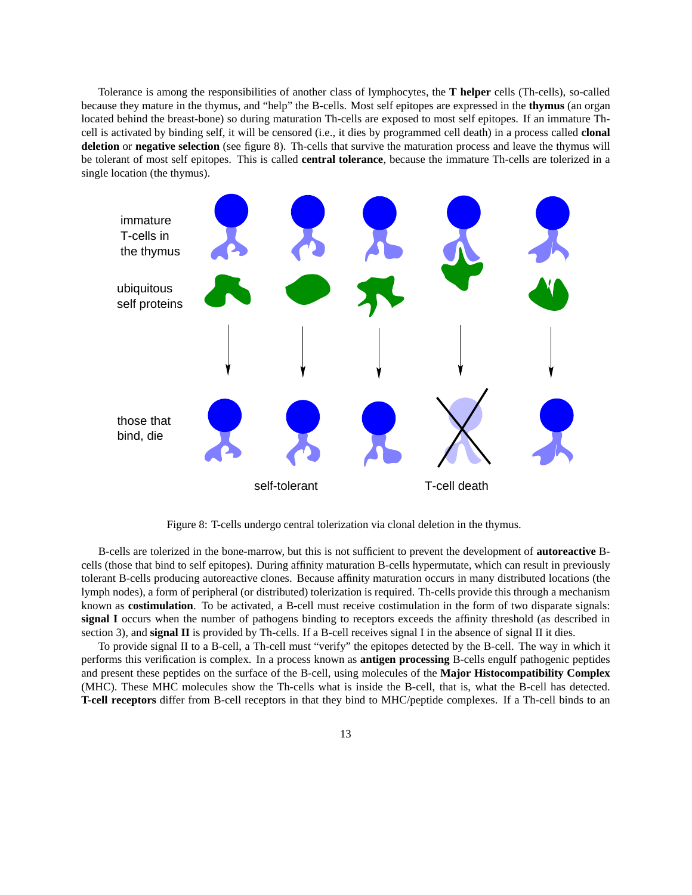Tolerance is among the responsibilities of another class of lymphocytes, the **T helper** cells (Th-cells), so-called because they mature in the thymus, and "help" the B-cells. Most self epitopes are expressed in the **thymus** (an organ located behind the breast-bone) so during maturation Th-cells are exposed to most self epitopes. If an immature Thcell is activated by binding self, it will be censored (i.e., it dies by programmed cell death) in a process called **clonal deletion** or **negative selection** (see figure 8). Th-cells that survive the maturation process and leave the thymus will be tolerant of most self epitopes. This is called **central tolerance**, because the immature Th-cells are tolerized in a single location (the thymus).



Figure 8: T-cells undergo central tolerization via clonal deletion in the thymus.

B-cells are tolerized in the bone-marrow, but this is not sufficient to prevent the development of **autoreactive** Bcells (those that bind to self epitopes). During affinity maturation B-cells hypermutate, which can result in previously tolerant B-cells producing autoreactive clones. Because affinity maturation occurs in many distributed locations (the lymph nodes), a form of peripheral (or distributed) tolerization is required. Th-cells provide this through a mechanism known as **costimulation**. To be activated, a B-cell must receive costimulation in the form of two disparate signals: **signal I** occurs when the number of pathogens binding to receptors exceeds the affinity threshold (as described in section 3), and **signal II** is provided by Th-cells. If a B-cell receives signal I in the absence of signal II it dies.

To provide signal II to a B-cell, a Th-cell must "verify" the epitopes detected by the B-cell. The way in which it performs this verification is complex. In a process known as **antigen processing** B-cells engulf pathogenic peptides and present these peptides on the surface of the B-cell, using molecules of the **Major Histocompatibility Complex** (MHC). These MHC molecules show the Th-cells what is inside the B-cell, that is, what the B-cell has detected. **T-cell receptors** differ from B-cell receptors in that they bind to MHC/peptide complexes. If a Th-cell binds to an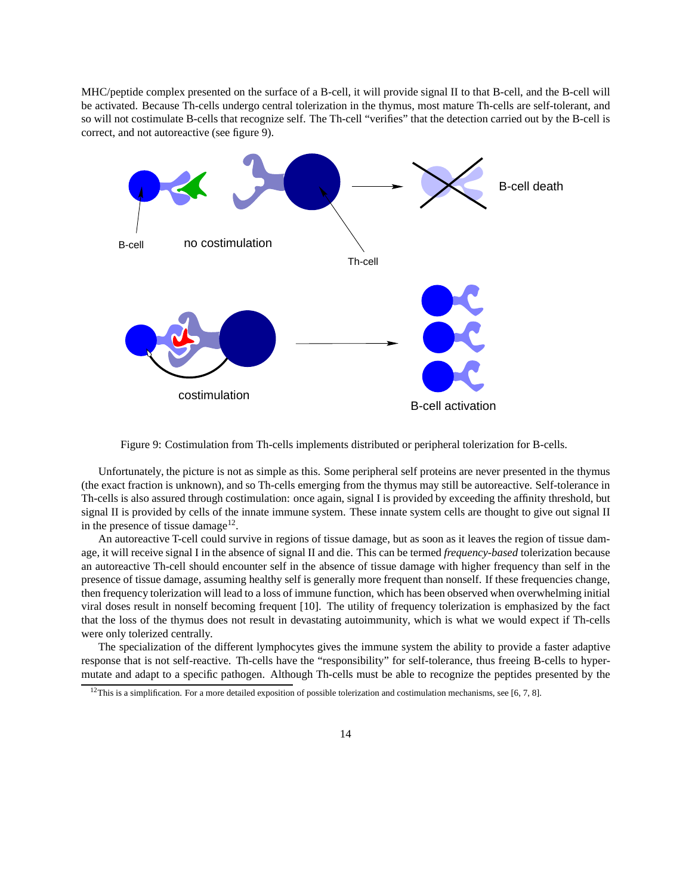MHC/peptide complex presented on the surface of a B-cell, it will provide signal II to that B-cell, and the B-cell will be activated. Because Th-cells undergo central tolerization in the thymus, most mature Th-cells are self-tolerant, and so will not costimulate B-cells that recognize self. The Th-cell "verifies" that the detection carried out by the B-cell is correct, and not autoreactive (see figure 9).



Figure 9: Costimulation from Th-cells implements distributed or peripheral tolerization for B-cells.

Unfortunately, the picture is not as simple as this. Some peripheral self proteins are never presented in the thymus (the exact fraction is unknown), and so Th-cells emerging from the thymus may still be autoreactive. Self-tolerance in Th-cells is also assured through costimulation: once again, signal I is provided by exceeding the affinity threshold, but signal II is provided by cells of the innate immune system. These innate system cells are thought to give out signal II in the presence of tissue damage $^{12}$ .

An autoreactive T-cell could survive in regions of tissue damage, but as soon as it leaves the region of tissue damage, it will receive signal I in the absence of signal II and die. This can be termed *frequency-based* tolerization because an autoreactive Th-cell should encounter self in the absence of tissue damage with higher frequency than self in the presence of tissue damage, assuming healthy self is generally more frequent than nonself. If these frequencies change, then frequency tolerization will lead to a loss of immune function, which has been observed when overwhelming initial viral doses result in nonself becoming frequent [10]. The utility of frequency tolerization is emphasized by the fact that the loss of the thymus does not result in devastating autoimmunity, which is what we would expect if Th-cells were only tolerized centrally.

The specialization of the different lymphocytes gives the immune system the ability to provide a faster adaptive response that is not self-reactive. Th-cells have the "responsibility" for self-tolerance, thus freeing B-cells to hypermutate and adapt to a specific pathogen. Although Th-cells must be able to recognize the peptides presented by the

<sup>&</sup>lt;sup>12</sup>This is a simplification. For a more detailed exposition of possible tolerization and costimulation mechanisms, see [6, 7, 8].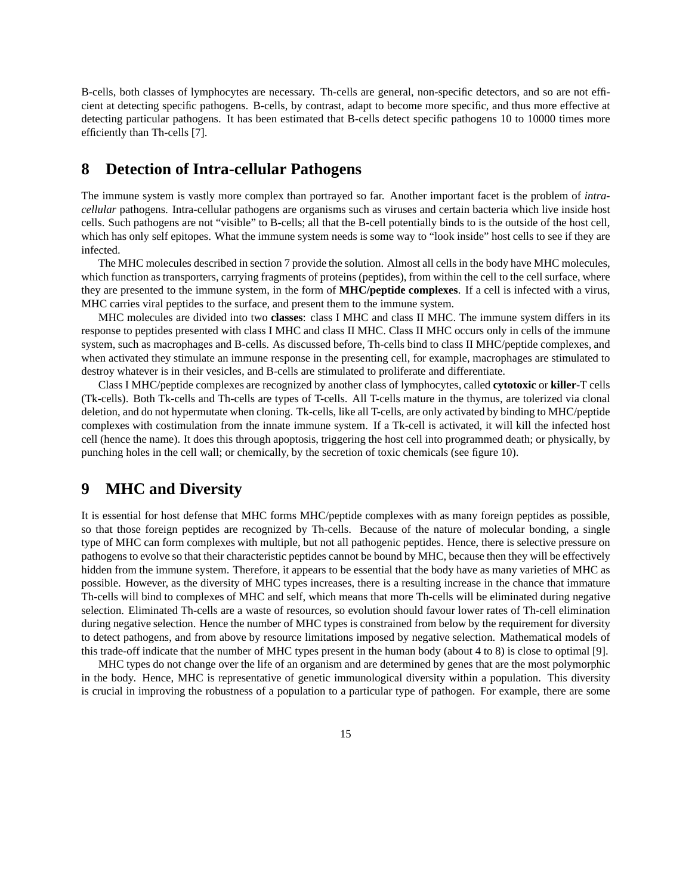B-cells, both classes of lymphocytes are necessary. Th-cells are general, non-specific detectors, and so are not efficient at detecting specific pathogens. B-cells, by contrast, adapt to become more specific, and thus more effective at detecting particular pathogens. It has been estimated that B-cells detect specific pathogens 10 to 10000 times more efficiently than Th-cells [7].

## **8 Detection of Intra-cellular Pathogens**

The immune system is vastly more complex than portrayed so far. Another important facet is the problem of *intracellular* pathogens. Intra-cellular pathogens are organisms such as viruses and certain bacteria which live inside host cells. Such pathogens are not "visible" to B-cells; all that the B-cell potentially binds to is the outside of the host cell, which has only self epitopes. What the immune system needs is some way to "look inside" host cells to see if they are infected.

The MHC molecules described in section 7 provide the solution. Almost all cellsin the body have MHC molecules, which function as transporters, carrying fragments of proteins (peptides), from within the cell to the cell surface, where they are presented to the immune system, in the form of **MHC/peptide complexes**. If a cell is infected with a virus, MHC carries viral peptides to the surface, and present them to the immune system.

MHC molecules are divided into two **classes**: class I MHC and class II MHC. The immune system differs in its response to peptides presented with class I MHC and class II MHC. Class II MHC occurs only in cells of the immune system, such as macrophages and B-cells. As discussed before, Th-cells bind to class II MHC/peptide complexes, and when activated they stimulate an immune response in the presenting cell, for example, macrophages are stimulated to destroy whatever is in their vesicles, and B-cells are stimulated to proliferate and differentiate.

Class I MHC/peptide complexes are recognized by another class of lymphocytes, called **cytotoxic** or **killer**-T cells (Tk-cells). Both Tk-cells and Th-cells are types of T-cells. All T-cells mature in the thymus, are tolerized via clonal deletion, and do not hypermutate when cloning. Tk-cells, like all T-cells, are only activated by binding to MHC/peptide complexes with costimulation from the innate immune system. If a Tk-cell is activated, it will kill the infected host cell (hence the name). It does this through apoptosis, triggering the host cell into programmed death; or physically, by punching holes in the cell wall; or chemically, by the secretion of toxic chemicals (see figure 10).

#### **9 MHC and Diversity**

It is essential for host defense that MHC forms MHC/peptide complexes with as many foreign peptides as possible, so that those foreign peptides are recognized by Th-cells. Because of the nature of molecular bonding, a single type of MHC can form complexes with multiple, but not all pathogenic peptides. Hence, there is selective pressure on pathogens to evolve so that their characteristic peptides cannot be bound by MHC, because then they will be effectively hidden from the immune system. Therefore, it appears to be essential that the body have as many varieties of MHC as possible. However, as the diversity of MHC types increases, there is a resulting increase in the chance that immature Th-cells will bind to complexes of MHC and self, which means that more Th-cells will be eliminated during negative selection. Eliminated Th-cells are a waste of resources, so evolution should favour lower rates of Th-cell elimination during negative selection. Hence the number of MHC types is constrained from below by the requirement for diversity to detect pathogens, and from above by resource limitations imposed by negative selection. Mathematical models of this trade-off indicate that the number of MHC types present in the human body (about 4 to 8) is close to optimal [9].

MHC types do not change over the life of an organism and are determined by genes that are the most polymorphic in the body. Hence, MHC is representative of genetic immunological diversity within a population. This diversity is crucial in improving the robustness of a population to a particular type of pathogen. For example, there are some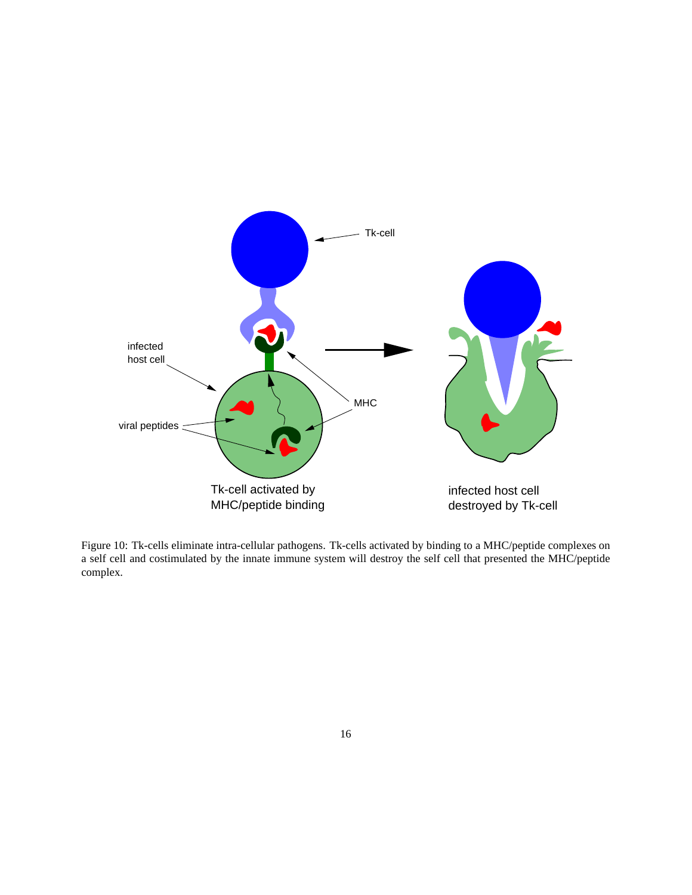

Figure 10: Tk-cells eliminate intra-cellular pathogens. Tk-cells activated by binding to a MHC/peptide complexes on a self cell and costimulated by the innate immune system will destroy the self cell that presented the MHC/peptide complex.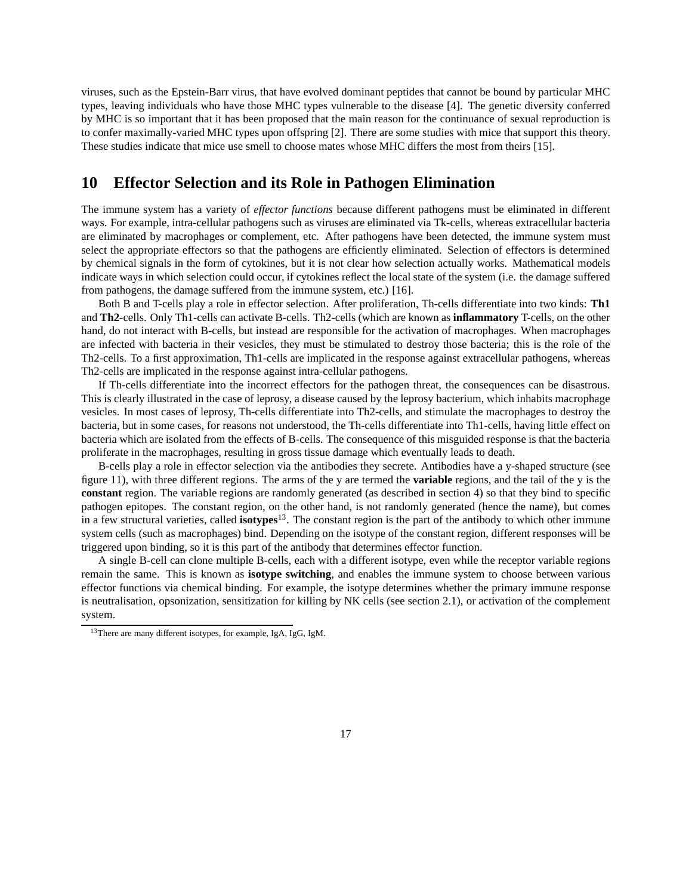viruses, such as the Epstein-Barr virus, that have evolved dominant peptides that cannot be bound by particular MHC types, leaving individuals who have those MHC types vulnerable to the disease [4]. The genetic diversity conferred by MHC is so important that it has been proposed that the main reason for the continuance of sexual reproduction is to confer maximally-varied MHC types upon offspring [2]. There are some studies with mice that support this theory. These studies indicate that mice use smell to choose mates whose MHC differs the most from theirs [15].

### **10 Effector Selection and its Role in Pathogen Elimination**

The immune system has a variety of *effector functions* because different pathogens must be eliminated in different ways. For example, intra-cellular pathogens such as viruses are eliminated via Tk-cells, whereas extracellular bacteria are eliminated by macrophages or complement, etc. After pathogens have been detected, the immune system must select the appropriate effectors so that the pathogens are efficiently eliminated. Selection of effectors is determined by chemical signals in the form of cytokines, but it is not clear how selection actually works. Mathematical models indicate ways in which selection could occur, if cytokines reflect the local state of the system (i.e. the damage suffered from pathogens, the damage suffered from the immune system, etc.) [16].

Both B and T-cells play a role in effector selection. After proliferation, Th-cells differentiate into two kinds: **Th1** and **Th2**-cells. Only Th1-cells can activate B-cells. Th2-cells (which are known as **inflammatory** T-cells, on the other hand, do not interact with B-cells, but instead are responsible for the activation of macrophages. When macrophages are infected with bacteria in their vesicles, they must be stimulated to destroy those bacteria; this is the role of the Th2-cells. To a first approximation, Th1-cells are implicated in the response against extracellular pathogens, whereas Th2-cells are implicated in the response against intra-cellular pathogens.

If Th-cells differentiate into the incorrect effectors for the pathogen threat, the consequences can be disastrous. This is clearly illustrated in the case of leprosy, a disease caused by the leprosy bacterium, which inhabits macrophage vesicles. In most cases of leprosy, Th-cells differentiate into Th2-cells, and stimulate the macrophages to destroy the bacteria, but in some cases, for reasons not understood, the Th-cells differentiate into Th1-cells, having little effect on bacteria which are isolated from the effects of B-cells. The consequence of this misguided response is that the bacteria proliferate in the macrophages, resulting in gross tissue damage which eventually leads to death.

B-cells play a role in effector selection via the antibodies they secrete. Antibodies have a y-shaped structure (see figure 11), with three different regions. The arms of the y are termed the **variable** regions, and the tail of the y is the **constant** region. The variable regions are randomly generated (as described in section 4) so that they bind to specific pathogen epitopes. The constant region, on the other hand, is not randomly generated (hence the name), but comes in a few structural varieties, called **isotypes**<sup>13</sup> . The constant region is the part of the antibody to which other immune system cells (such as macrophages) bind. Depending on the isotype of the constant region, different responses will be triggered upon binding, so it is this part of the antibody that determines effector function.

A single B-cell can clone multiple B-cells, each with a different isotype, even while the receptor variable regions remain the same. This is known as **isotype switching**, and enables the immune system to choose between various effector functions via chemical binding. For example, the isotype determines whether the primary immune response is neutralisation, opsonization, sensitization for killing by NK cells (see section 2.1), or activation of the complement system.

<sup>13</sup>There are many different isotypes, for example, IgA, IgG, IgM.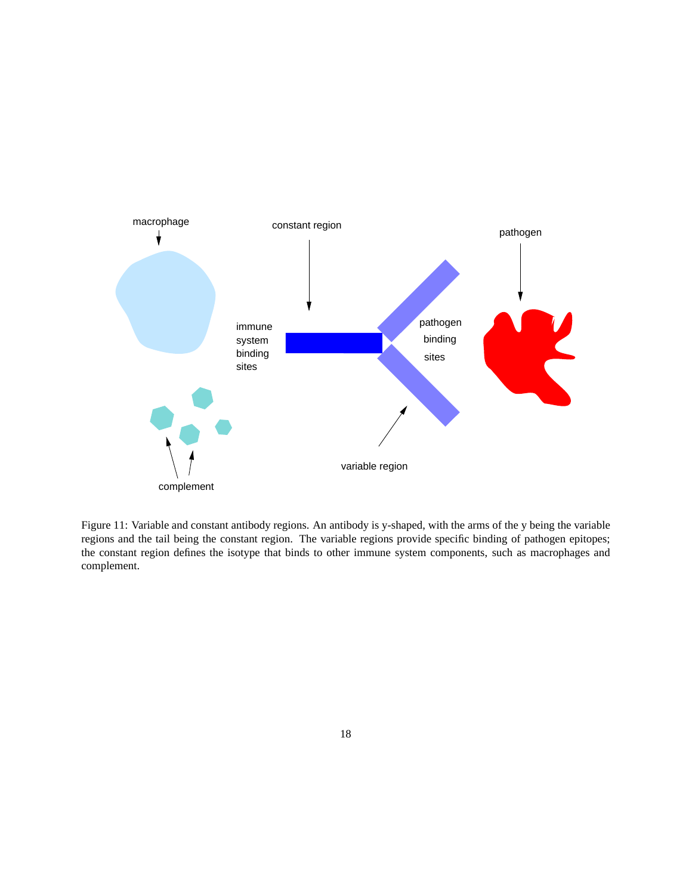

Figure 11: Variable and constant antibody regions. An antibody is y-shaped, with the arms of the y being the variable regions and the tail being the constant region. The variable regions provide specific binding of pathogen epitopes; the constant region defines the isotype that binds to other immune system components, such as macrophages and complement.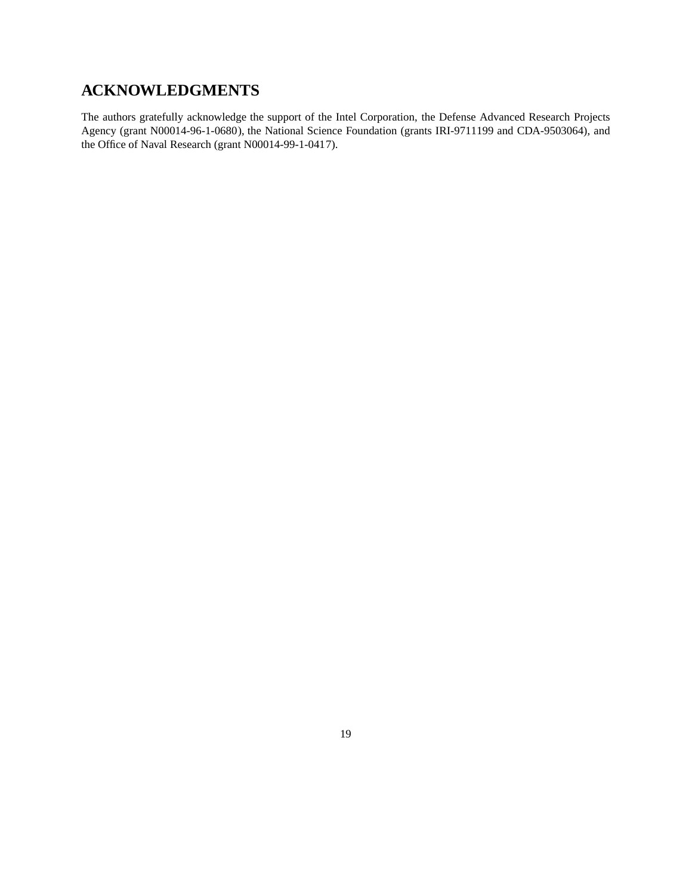# **ACKNOWLEDGMENTS**

The authors gratefully acknowledge the support of the Intel Corporation, the Defense Advanced Research Projects Agency (grant N00014-96-1-0680), the National Science Foundation (grants IRI-9711199 and CDA-9503064), and the Office of Naval Research (grant N00014-99-1-0417).